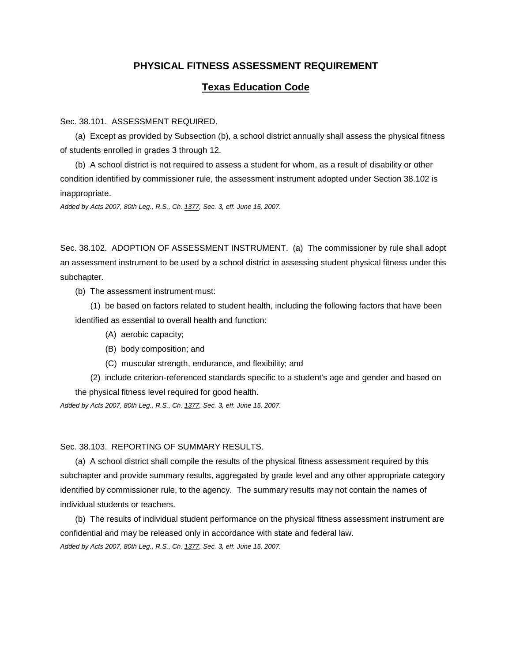# **PHYSICAL FITNESS ASSESSMENT REQUIREMENT**

## **Texas Education Code**

Sec. 38.101. ASSESSMENT REQUIRED.

(a) Except as provided by Subsection (b), a school district annually shall assess the physical fitness of students enrolled in grades 3 through 12.

(b) A school district is not required to assess a student for whom, as a result of disability or other condition identified by commissioner rule, the assessment instrument adopted under Section 38.102 is inappropriate.

*Added by Acts 2007, 80th Leg., R.S., Ch[. 1377,](http://www.legis.state.tx.us/tlodocs/80R/billtext/html/SB00530F.HTM) Sec. 3, eff. June 15, 2007.*

Sec. 38.102. ADOPTION OF ASSESSMENT INSTRUMENT. (a) The commissioner by rule shall adopt an assessment instrument to be used by a school district in assessing student physical fitness under this subchapter.

(b) The assessment instrument must:

(1) be based on factors related to student health, including the following factors that have been identified as essential to overall health and function:

- (A) aerobic capacity;
- (B) body composition; and
- (C) muscular strength, endurance, and flexibility; and
- (2) include criterion-referenced standards specific to a student's age and gender and based on the physical fitness level required for good health.

*Added by Acts 2007, 80th Leg., R.S., Ch[. 1377,](http://www.legis.state.tx.us/tlodocs/80R/billtext/html/SB00530F.HTM) Sec. 3, eff. June 15, 2007.*

### Sec. 38.103. REPORTING OF SUMMARY RESULTS.

(a) A school district shall compile the results of the physical fitness assessment required by this subchapter and provide summary results, aggregated by grade level and any other appropriate category identified by commissioner rule, to the agency. The summary results may not contain the names of individual students or teachers.

(b) The results of individual student performance on the physical fitness assessment instrument are confidential and may be released only in accordance with state and federal law. *Added by Acts 2007, 80th Leg., R.S., Ch[. 1377,](http://www.legis.state.tx.us/tlodocs/80R/billtext/html/SB00530F.HTM) Sec. 3, eff. June 15, 2007.*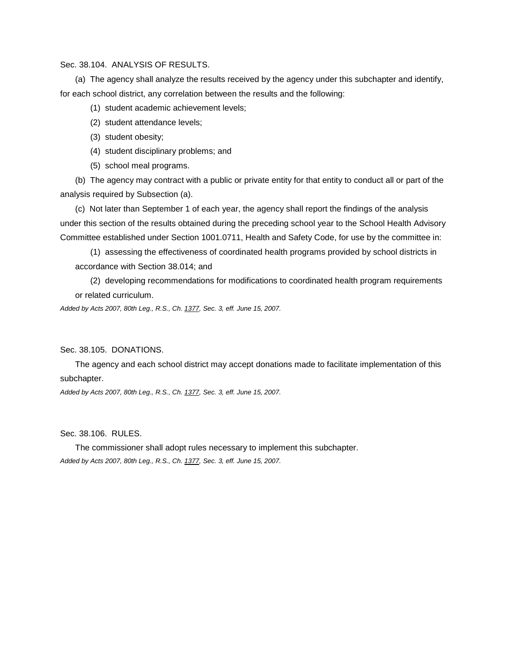## Sec. 38.104. ANALYSIS OF RESULTS.

(a) The agency shall analyze the results received by the agency under this subchapter and identify, for each school district, any correlation between the results and the following:

- (1) student academic achievement levels;
- (2) student attendance levels;
- (3) student obesity;
- (4) student disciplinary problems; and
- (5) school meal programs.

(b) The agency may contract with a public or private entity for that entity to conduct all or part of the analysis required by Subsection (a).

(c) Not later than September 1 of each year, the agency shall report the findings of the analysis under this section of the results obtained during the preceding school year to the School Health Advisory Committee established under Section 1001.0711, Health and Safety Code, for use by the committee in:

(1) assessing the effectiveness of coordinated health programs provided by school districts in accordance with Section 38.014; and

(2) developing recommendations for modifications to coordinated health program requirements or related curriculum.

*Added by Acts 2007, 80th Leg., R.S., Ch[. 1377,](http://www.legis.state.tx.us/tlodocs/80R/billtext/html/SB00530F.HTM) Sec. 3, eff. June 15, 2007.*

#### Sec. 38.105. DONATIONS.

The agency and each school district may accept donations made to facilitate implementation of this subchapter.

*Added by Acts 2007, 80th Leg., R.S., Ch[. 1377,](http://www.legis.state.tx.us/tlodocs/80R/billtext/html/SB00530F.HTM) Sec. 3, eff. June 15, 2007.*

### Sec. 38.106. RULES.

The commissioner shall adopt rules necessary to implement this subchapter. *Added by Acts 2007, 80th Leg., R.S., Ch[. 1377,](http://www.legis.state.tx.us/tlodocs/80R/billtext/html/SB00530F.HTM) Sec. 3, eff. June 15, 2007.*